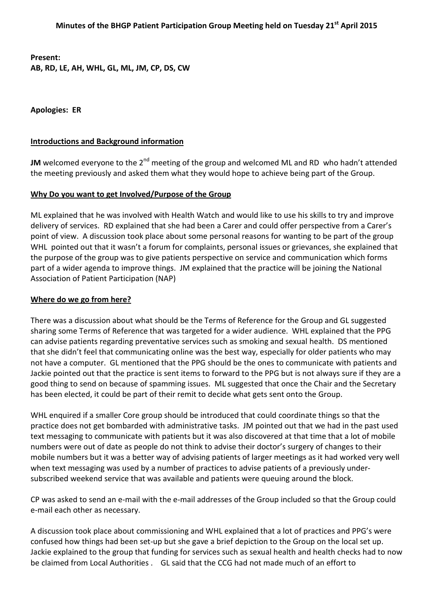**Present:** 

**AB, RD, LE, AH, WHL, GL, ML, JM, CP, DS, CW** 

**Apologies: ER** 

## **Introductions and Background information**

**JM** welcomed everyone to the 2<sup>nd</sup> meeting of the group and welcomed ML and RD who hadn't attended the meeting previously and asked them what they would hope to achieve being part of the Group.

### **Why Do you want to get Involved/Purpose of the Group**

ML explained that he was involved with Health Watch and would like to use his skills to try and improve delivery of services. RD explained that she had been a Carer and could offer perspective from a Carer's point of view. A discussion took place about some personal reasons for wanting to be part of the group WHL pointed out that it wasn't a forum for complaints, personal issues or grievances, she explained that the purpose of the group was to give patients perspective on service and communication which forms part of a wider agenda to improve things. JM explained that the practice will be joining the National Association of Patient Participation (NAP)

# **Where do we go from here?**

There was a discussion about what should be the Terms of Reference for the Group and GL suggested sharing some Terms of Reference that was targeted for a wider audience. WHL explained that the PPG can advise patients regarding preventative services such as smoking and sexual health. DS mentioned that she didn't feel that communicating online was the best way, especially for older patients who may not have a computer. GL mentioned that the PPG should be the ones to communicate with patients and Jackie pointed out that the practice is sent items to forward to the PPG but is not always sure if they are a good thing to send on because of spamming issues. ML suggested that once the Chair and the Secretary has been elected, it could be part of their remit to decide what gets sent onto the Group.

WHL enquired if a smaller Core group should be introduced that could coordinate things so that the practice does not get bombarded with administrative tasks. JM pointed out that we had in the past used text messaging to communicate with patients but it was also discovered at that time that a lot of mobile numbers were out of date as people do not think to advise their doctor's surgery of changes to their mobile numbers but it was a better way of advising patients of larger meetings as it had worked very well when text messaging was used by a number of practices to advise patients of a previously undersubscribed weekend service that was available and patients were queuing around the block.

CP was asked to send an e-mail with the e-mail addresses of the Group included so that the Group could e-mail each other as necessary.

A discussion took place about commissioning and WHL explained that a lot of practices and PPG's were confused how things had been set-up but she gave a brief depiction to the Group on the local set up. Jackie explained to the group that funding for services such as sexual health and health checks had to now be claimed from Local Authorities . GL said that the CCG had not made much of an effort to